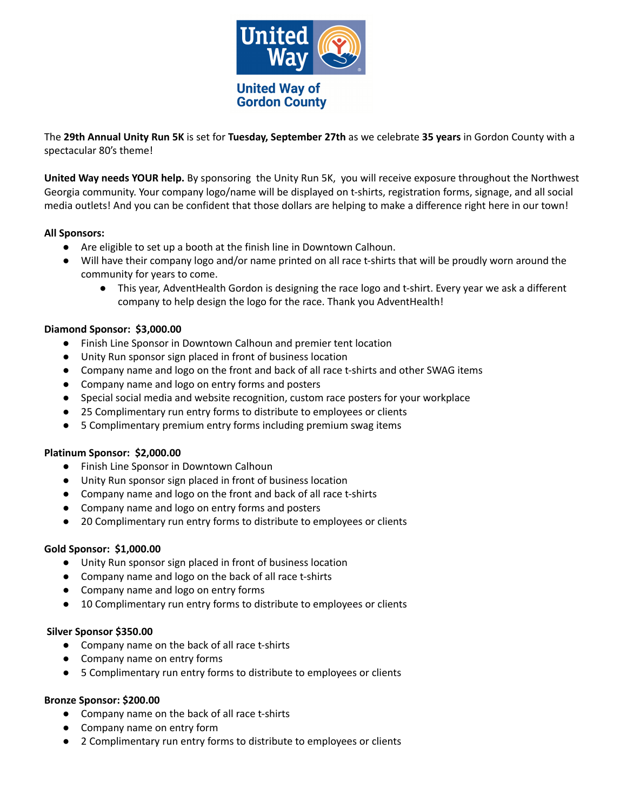

The **29th Annual Unity Run 5K** is set for **Tuesday, September 27th** as we celebrate **35 years** in Gordon County with a spectacular 80's theme!

**United Way needs YOUR help.** By sponsoring the Unity Run 5K, you will receive exposure throughout the Northwest Georgia community. Your company logo/name will be displayed on t-shirts, registration forms, signage, and all social media outlets! And you can be confident that those dollars are helping to make a difference right here in our town!

## **All Sponsors:**

- Are eligible to set up a booth at the finish line in Downtown Calhoun.
- Will have their company logo and/or name printed on all race t-shirts that will be proudly worn around the community for years to come.
	- **●** This year, AdventHealth Gordon is designing the race logo and t-shirt. Every year we ask a different company to help design the logo for the race. Thank you AdventHealth!

## **Diamond Sponsor: \$3,000.00**

- Finish Line Sponsor in Downtown Calhoun and premier tent location
- Unity Run sponsor sign placed in front of business location
- Company name and logo on the front and back of all race t-shirts and other SWAG items
- Company name and logo on entry forms and posters
- Special social media and website recognition, custom race posters for your workplace
- 25 Complimentary run entry forms to distribute to employees or clients
- 5 Complimentary premium entry forms including premium swag items

## **Platinum Sponsor: \$2,000.00**

- Finish Line Sponsor in Downtown Calhoun
- Unity Run sponsor sign placed in front of business location
- Company name and logo on the front and back of all race t-shirts
- Company name and logo on entry forms and posters
- 20 Complimentary run entry forms to distribute to employees or clients

## **Gold Sponsor: \$1,000.00**

- Unity Run sponsor sign placed in front of business location
- Company name and logo on the back of all race t-shirts
- Company name and logo on entry forms
- 10 Complimentary run entry forms to distribute to employees or clients

## **Silver Sponsor \$350.00**

- Company name on the back of all race t-shirts
- Company name on entry forms
- *●* 5 Complimentary run entry forms to distribute to employees or clients

## **Bronze Sponsor: \$200.00**

- Company name on the back of all race t-shirts
- Company name on entry form
- *●* 2 Complimentary run entry forms to distribute to employees or clients